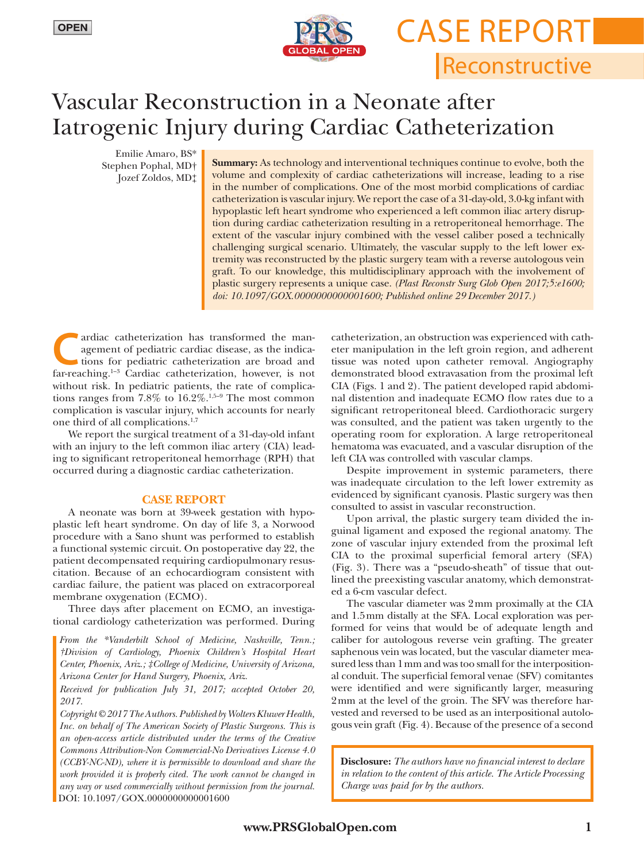

Reconstructive Case Report

# Vascular Reconstruction in a Neonate after Iatrogenic Injury during Cardiac Catheterization

Emilie Amaro, BS\* Stephen Pophal, MD† Jozef Zoldos, MD‡

**Summary:** As technology and interventional techniques continue to evolve, both the volume and complexity of cardiac catheterizations will increase, leading to a rise in the number of complications. One of the most morbid complications of cardiac catheterization is vascular injury. We report the case of a 31-day-old, 3.0-kg infant with hypoplastic left heart syndrome who experienced a left common iliac artery disruption during cardiac catheterization resulting in a retroperitoneal hemorrhage. The extent of the vascular injury combined with the vessel caliber posed a technically challenging surgical scenario. Ultimately, the vascular supply to the left lower extremity was reconstructed by the plastic surgery team with a reverse autologous vein graft. To our knowledge, this multidisciplinary approach with the involvement of plastic surgery represents a unique case. *(Plast Reconstr Surg Glob Open 2017;5:e1600; doi: 10.1097/GOX.0000000000001600; Published online 29 December 2017.)*

ardiac catheterization has transformed the management of pediatric cardiac disease, as the indications for pediatric catheterization are broad and for reaching <sup>1-3</sup> Cardiac catheterization, however, is not agement of pediatric cardiac disease, as the indicafar-reaching.<sup>1-3</sup> Cardiac catheterization, however, is not without risk. In pediatric patients, the rate of complications ranges from  $7.8\%$  to  $16.2\%$ .<sup>1,5-9</sup> The most common complication is vascular injury, which accounts for nearly one third of all complications.<sup>1,7</sup>

We report the surgical treatment of a 31-day-old infant with an injury to the left common iliac artery (CIA) leading to significant retroperitoneal hemorrhage (RPH) that occurred during a diagnostic cardiac catheterization.

## **CASE REPORT**

A neonate was born at 39-week gestation with hypoplastic left heart syndrome. On day of life 3, a Norwood procedure with a Sano shunt was performed to establish a functional systemic circuit. On postoperative day 22, the patient decompensated requiring cardiopulmonary resuscitation. Because of an echocardiogram consistent with cardiac failure, the patient was placed on extracorporeal membrane oxygenation (ECMO).

Three days after placement on ECMO, an investigational cardiology catheterization was performed. During

*From the \*Vanderbilt School of Medicine, Nashville, Tenn.; †Division of Cardiology, Phoenix Children's Hospital Heart Center, Phoenix, Ariz.; ‡College of Medicine, University of Arizona, Arizona Center for Hand Surgery, Phoenix, Ariz.* 

*Received for publication July 31, 2017; accepted October 20, 2017.*

*Copyright © 2017 The Authors. Published by Wolters Kluwer Health, Inc. on behalf of The American Society of Plastic Surgeons. This is an open-access article distributed under the terms of the [Creative](http://creativecommons.org/licenses/by-nc-nd/4.0/) [Commons Attribution-Non Commercial-No Derivatives License 4.0](http://creativecommons.org/licenses/by-nc-nd/4.0/)  [\(CCBY-NC-ND\),](http://creativecommons.org/licenses/by-nc-nd/4.0/) where it is permissible to download and share the work provided it is properly cited. The work cannot be changed in any way or used commercially without permission from the journal.* DOI: 10.1097/GOX.0000000000001600

catheterization, an obstruction was experienced with catheter manipulation in the left groin region, and adherent tissue was noted upon catheter removal. Angiography demonstrated blood extravasation from the proximal left CIA (Figs. 1 and 2). The patient developed rapid abdominal distention and inadequate ECMO flow rates due to a significant retroperitoneal bleed. Cardiothoracic surgery was consulted, and the patient was taken urgently to the operating room for exploration. A large retroperitoneal hematoma was evacuated, and a vascular disruption of the left CIA was controlled with vascular clamps.

Despite improvement in systemic parameters, there was inadequate circulation to the left lower extremity as evidenced by significant cyanosis. Plastic surgery was then consulted to assist in vascular reconstruction.

Upon arrival, the plastic surgery team divided the inguinal ligament and exposed the regional anatomy. The zone of vascular injury extended from the proximal left CIA to the proximal superficial femoral artery (SFA) (Fig. 3). There was a "pseudo-sheath" of tissue that outlined the preexisting vascular anatomy, which demonstrated a 6-cm vascular defect.

The vascular diameter was 2mm proximally at the CIA and 1.5mm distally at the SFA. Local exploration was performed for veins that would be of adequate length and caliber for autologous reverse vein grafting. The greater saphenous vein was located, but the vascular diameter measured less than 1mm and was too small for the interpositional conduit. The superficial femoral venae (SFV) comitantes were identified and were significantly larger, measuring 2mm at the level of the groin. The SFV was therefore harvested and reversed to be used as an interpositional autologous vein graft (Fig. 4). Because of the presence of a second

**Disclosure:** *The authors have no financial interest to declare in relation to the content of this article. The Article Processing Charge was paid for by the authors.*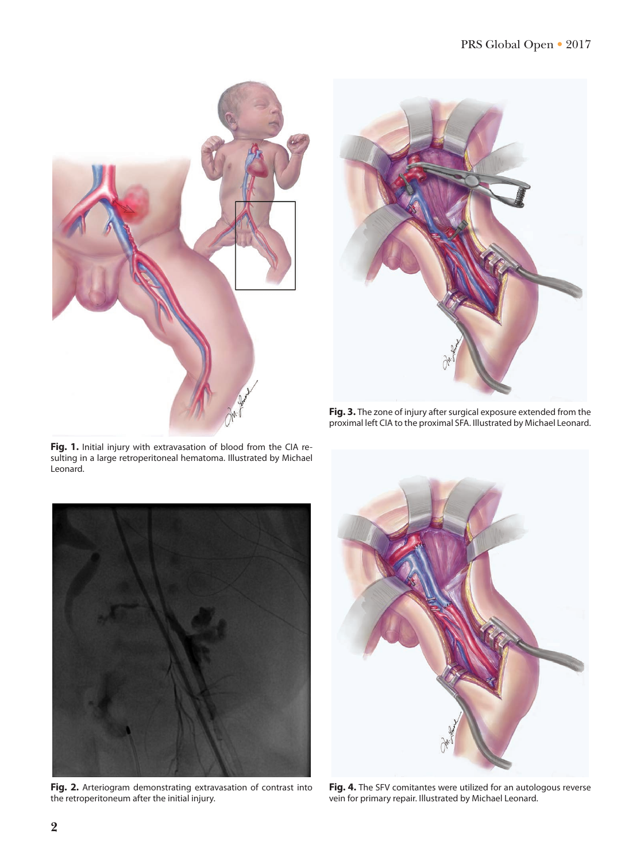



**Fig. 3.** The zone of injury after surgical exposure extended from the proximal left CIA to the proximal SFA. Illustrated by Michael Leonard.



sulting in a large retroperitoneal hematoma. Illustrated by Michael

**Fig. 2.** Arteriogram demonstrating extravasation of contrast into the retroperitoneum after the initial injury.



**Fig. 4.** The SFV comitantes were utilized for an autologous reverse vein for primary repair. Illustrated by Michael Leonard.

Leonard.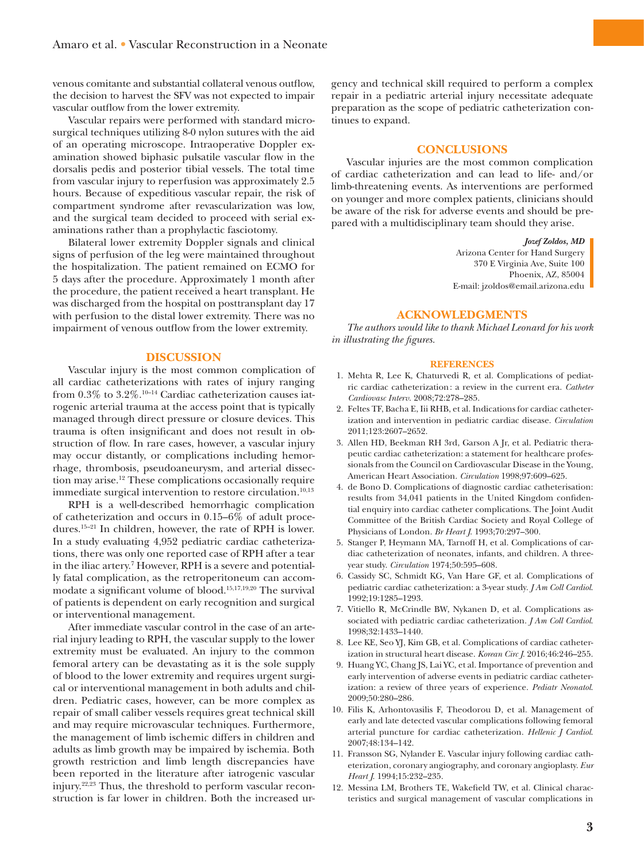venous comitante and substantial collateral venous outflow, the decision to harvest the SFV was not expected to impair vascular outflow from the lower extremity.

Vascular repairs were performed with standard microsurgical techniques utilizing 8-0 nylon sutures with the aid of an operating microscope. Intraoperative Doppler examination showed biphasic pulsatile vascular flow in the dorsalis pedis and posterior tibial vessels. The total time from vascular injury to reperfusion was approximately 2.5 hours. Because of expeditious vascular repair, the risk of compartment syndrome after revascularization was low, and the surgical team decided to proceed with serial examinations rather than a prophylactic fasciotomy.

Bilateral lower extremity Doppler signals and clinical signs of perfusion of the leg were maintained throughout the hospitalization. The patient remained on ECMO for 5 days after the procedure. Approximately 1 month after the procedure, the patient received a heart transplant. He was discharged from the hospital on posttransplant day 17 with perfusion to the distal lower extremity. There was no impairment of venous outflow from the lower extremity.

## **DISCUSSION**

Vascular injury is the most common complication of all cardiac catheterizations with rates of injury ranging from 0.3% to 3.2%.10–14 Cardiac catheterization causes iatrogenic arterial trauma at the access point that is typically managed through direct pressure or closure devices. This trauma is often insignificant and does not result in obstruction of flow. In rare cases, however, a vascular injury may occur distantly, or complications including hemorrhage, thrombosis, pseudoaneurysm, and arterial dissection may arise.12 These complications occasionally require immediate surgical intervention to restore circulation.<sup>10,13</sup>

RPH is a well-described hemorrhagic complication of catheterization and occurs in 0.15–6% of adult procedures.15–21 In children, however, the rate of RPH is lower. In a study evaluating 4,952 pediatric cardiac catheterizations, there was only one reported case of RPH after a tear in the iliac artery.7 However, RPH is a severe and potentially fatal complication, as the retroperitoneum can accommodate a significant volume of blood.15,17,19,20 The survival of patients is dependent on early recognition and surgical or interventional management.

After immediate vascular control in the case of an arterial injury leading to RPH, the vascular supply to the lower extremity must be evaluated. An injury to the common femoral artery can be devastating as it is the sole supply of blood to the lower extremity and requires urgent surgical or interventional management in both adults and children. Pediatric cases, however, can be more complex as repair of small caliber vessels requires great technical skill and may require microvascular techniques. Furthermore, the management of limb ischemic differs in children and adults as limb growth may be impaired by ischemia. Both growth restriction and limb length discrepancies have been reported in the literature after iatrogenic vascular injury.22,23 Thus, the threshold to perform vascular reconstruction is far lower in children. Both the increased urgency and technical skill required to perform a complex repair in a pediatric arterial injury necessitate adequate preparation as the scope of pediatric catheterization continues to expand.

# **CONCLUSIONS**

Vascular injuries are the most common complication of cardiac catheterization and can lead to life- and/or limb-threatening events. As interventions are performed on younger and more complex patients, clinicians should be aware of the risk for adverse events and should be prepared with a multidisciplinary team should they arise.

#### *Jozef Zoldos, MD*

Arizona Center for Hand Surgery 370 E Virginia Ave, Suite 100 Phoenix, AZ, 85004 E-mail: [jzoldos@email.arizona.edu](mailto:jzoldos@email.arizona.edu)

# **ACKNOWLEDGMENTS**

*The authors would like to thank Michael Leonard for his work in illustrating the figures.*

#### **REFERENCES**

- 1. Mehta R, Lee K, Chaturvedi R, et al. Complications of pediatric cardiac catheterization: a review in the current era. *Catheter Cardiovasc Interv*. 2008;72:278–285.
- 2. Feltes TF, Bacha E, Iii RHB, et al. Indications for cardiac catheterization and intervention in pediatric cardiac disease. *Circulation* 2011;123:2607–2652.
- 3. Allen HD, Beekman RH 3rd, Garson A Jr, et al. Pediatric therapeutic cardiac catheterization: a statement for healthcare professionals from the Council on Cardiovascular Disease in the Young, American Heart Association. *Circulation* 1998;97:609–625.
- 4. de Bono D. Complications of diagnostic cardiac catheterisation: results from 34,041 patients in the United Kingdom confidential enquiry into cardiac catheter complications. The Joint Audit Committee of the British Cardiac Society and Royal College of Physicians of London. *Br Heart J*. 1993;70:297–300.
- 5. Stanger P, Heymann MA, Tarnoff H, et al. Complications of cardiac catheterization of neonates, infants, and children. A threeyear study. *Circulation* 1974;50:595–608.
- 6. Cassidy SC, Schmidt KG, Van Hare GF, et al. Complications of pediatric cardiac catheterization: a 3-year study. *J Am Coll Cardiol*. 1992;19:1285–1293.
- 7. Vitiello R, McCrindle BW, Nykanen D, et al. Complications associated with pediatric cardiac catheterization. *J Am Coll Cardiol*. 1998;32:1433–1440.
- 8. Lee KE, Seo YJ, Kim GB, et al. Complications of cardiac catheterization in structural heart disease. *Korean Circ J*. 2016;46:246–255.
- 9. Huang YC, Chang JS, Lai YC, et al. Importance of prevention and early intervention of adverse events in pediatric cardiac catheterization: a review of three years of experience. *Pediatr Neonatol*. 2009;50:280–286.
- 10. Filis K, Arhontovasilis F, Theodorou D, et al. Management of early and late detected vascular complications following femoral arterial puncture for cardiac catheterization. *Hellenic J Cardiol*. 2007;48:134–142.
- 11. Fransson SG, Nylander E. Vascular injury following cardiac catheterization, coronary angiography, and coronary angioplasty. *Eur Heart J*. 1994;15:232–235.
- 12. Messina LM, Brothers TE, Wakefield TW, et al. Clinical characteristics and surgical management of vascular complications in